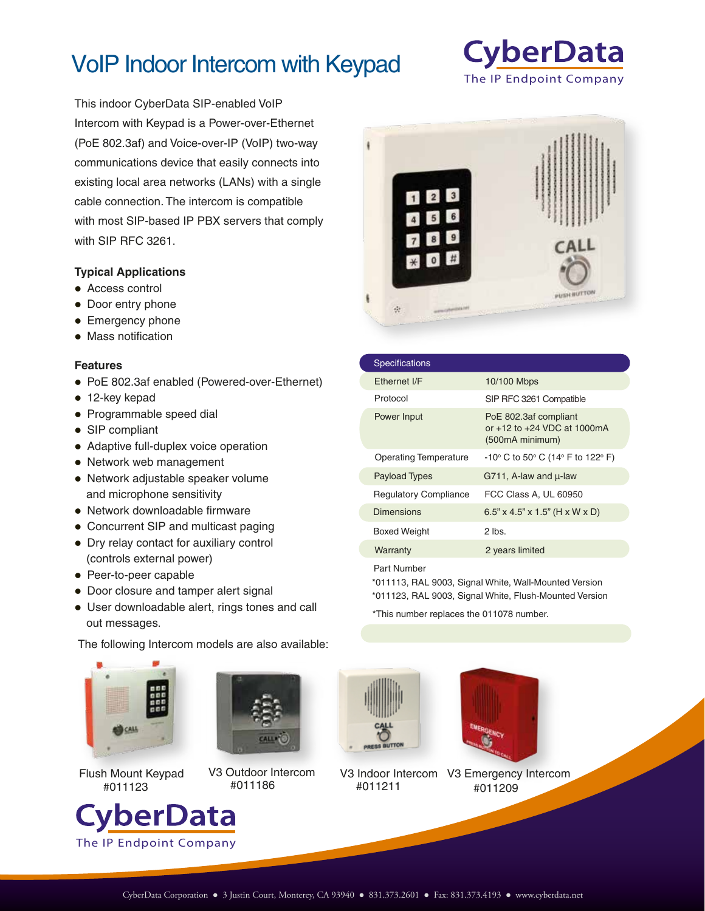# VoIP Indoor Intercom with Keypad

This indoor CyberData SIP-enabled VoIP Intercom with Keypad is a Power-over-Ethernet (PoE 802.3af) and Voice-over-IP (VoIP) two-way communications device that easily connects into existing local area networks (LANs) with a single cable connection. The intercom is compatible with most SIP-based IP PBX servers that comply with SIP RFC 3261.

#### **Typical Applications**

- Access control
- Door entry phone
- Emergency phone
- Mass notification

#### **Features**

- PoE 802.3af enabled (Powered-over-Ethernet)
- 12-key kepad
- Programmable speed dial
- SIP compliant
- Adaptive full-duplex voice operation
- Network web management
- Network adjustable speaker volume and microphone sensitivity
- Network downloadable firmware
- Concurrent SIP and multicast paging
- Dry relay contact for auxiliary control (controls external power)
- Peer-to-peer capable
- Door closure and tamper alert signal
- User downloadable alert, rings tones and call out messages.

The following Intercom models are also available:





The IP Endpoint Company

/berData







#011209 V3 Indoor Intercom V3 Emergency Intercom



 $3$  $\overline{2}$ 

| Power Input                  | PoE 802.3af compliant<br>or +12 to +24 VDC at 1000mA<br>(500mA minimum)  |
|------------------------------|--------------------------------------------------------------------------|
| <b>Operating Temperature</b> | $-10^{\circ}$ C to 50 $^{\circ}$ C (14 $^{\circ}$ F to 122 $^{\circ}$ F) |
| <b>Payload Types</b>         | G711, A-law and $\mu$ -law                                               |
| <b>Regulatory Compliance</b> | FCC Class A, UL 60950                                                    |
| Dimensions                   | $6.5$ " x 4.5" x 1.5" (H x W x D)                                        |
|                              |                                                                          |

Part Number

 $\frac{1}{2}$ 

\*011123, RAL 9003, Signal White, Flush-Mounted Version \*011113, RAL 9003, Signal White, Wall-Mounted Version

\*This number replaces the 011078 number.

Warranty 2 years limited

Boxed Weight 2 lbs.

**CyberData** The IP Endpoint Company

 $\cap$  AL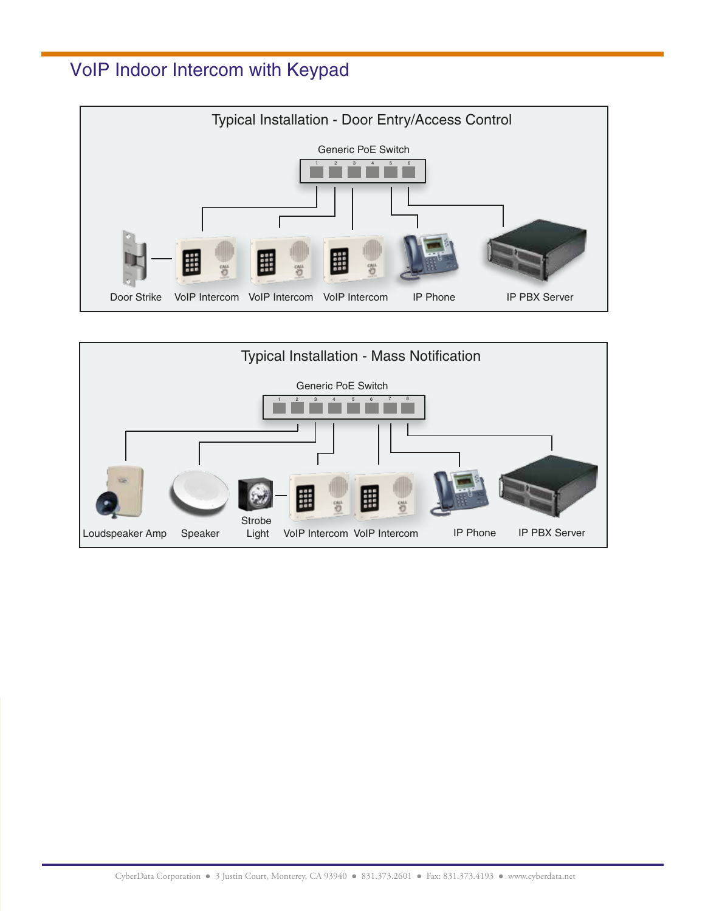### VoIP Indoor Intercom with Keypad